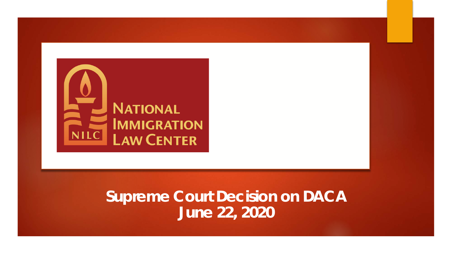

### **Supreme Court Decision on DACA June 22, 2020**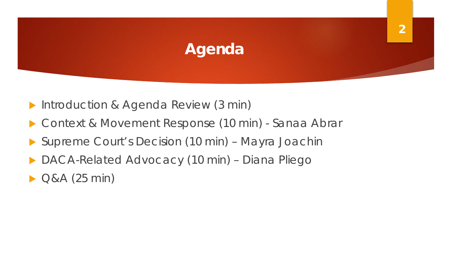# **Agenda**

- Introduction & Agenda Review (3 min)
- Context & Movement Response (10 min) Sanaa Abrar
- ▶ Supreme Court's Decision (10 min) Mayra Joachin
- DACA-Related Advocacy (10 min) Diana Pliego
- $Q&A(25 min)$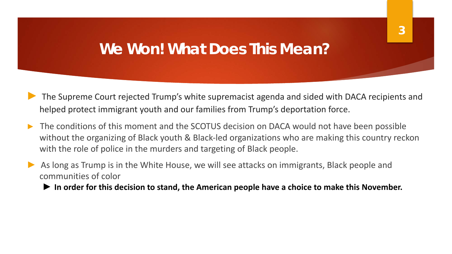### **We Won! What Does This Mean?**

- The Supreme Court rejected Trump's white supremacist agenda and sided with DACA recipients and helped protect immigrant youth and our families from Trump's deportation force.
- The conditions of this moment and the SCOTUS decision on DACA would not have been possible without the organizing of Black youth & Black-led organizations who are making this country reckon with the role of police in the murders and targeting of Black people.
- As long as Trump is in the White House, we will see attacks on immigrants, Black people and communities of color
	- ► **In order for this decision to stand, the American people have a choice to make this November.**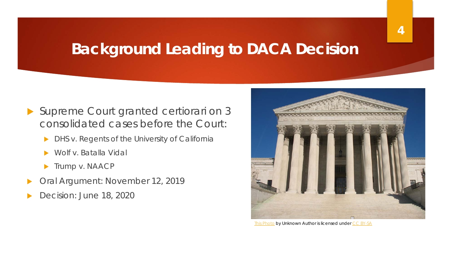### **Background Leading to DACA Decision**

- Supreme Court granted certiorari on 3 consolidated cases before the Court:
	- **DHS v. Regents of the University of California**
	- u *Wolf v. Batalla Vidal*
	- **Trump v. NAACP**
- Oral Argument: November 12, 2019
- Decision: June 18, 2020



[This Photo](http://en.wikipedia.org/wiki/File:US_Supreme_Court.JPG) by Unknown Author is licensed under [CC BY-SA](https://creativecommons.org/licenses/by-sa/3.0/)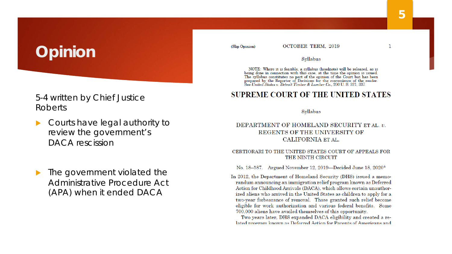# **Opinion**

### 5-4 written by Chief Justice Roberts

- Courts have legal authority to review the government's DACA rescission
- The government violated the Administrative Procedure Act (APA) when it ended DACA

(Slip Opinion)

#### Svllabus

NOTE: Where it is feasible, a syllabus (headnote) will be released, as is being done in connection with this case, at the time the opinion is issued. The syllabus constitutes no part of the opinion of the Court but has been prepared by the Reporter of Decisions for the convenience of the reader.<br>See United States v. Detroit Timber & Lumber Co., 200 U.S. 321, 337.

### **SUPREME COURT OF THE UNITED STATES**

#### Syllabus

### DEPARTMENT OF HOMELAND SECURITY ET AL. v. REGENTS OF THE UNIVERSITY OF CALIFORNIA ET AL.

#### CERTIORARI TO THE UNITED STATES COURT OF APPEALS FOR THE NINTH CIRCUIT

No. 18-587. Argued November 12, 2019—Decided June 18, 2020\*

In 2012, the Department of Homeland Security (DHS) issued a memorandum announcing an immigration relief program known as Deferred Action for Childhood Arrivals (DACA), which allows certain unauthorized aliens who arrived in the United States as children to apply for a two-year forbearance of removal. Those granted such relief become eligible for work authorization and various federal benefits. Some 700,000 aliens have availed themselves of this opportunity.

Two years later, DHS expanded DACA eligibility and created a related program known as Deferred Action for Parents of Americans and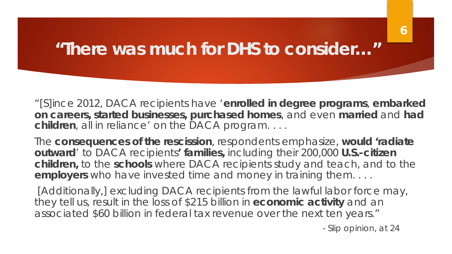## **"There was much for DHS to consider…"**

"[S]ince 2012, DACA recipients have '**enrolled in degree programs**, **embarked on careers, started businesses, purchased homes**, and even **married** and **had children**, all in reliance' on the DACA program. . . .

The **consequences of the rescission**, respondents emphasize, **would 'radiate outward**' to DACA recipients**' families,** including their 200,000 **U.S.-citizen children,** to the **schools** where DACA recipients study and teach, and to the **employers** who have invested time and money in training them. . . .

[Additionally,] excluding DACA recipients from the lawful labor force may, they tell us, result in the loss of \$215 billion in **economic activity** and an associated \$60 billion in federal tax revenue over the next ten years."

- Slip opinion, at 24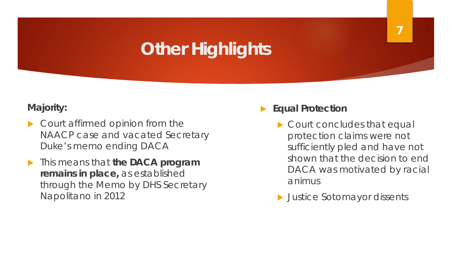# **Other Highlights**

**Majority:**

- Court affirmed opinion from the *NAACP* case and vacated Secretary Duke's memo ending DACA
- This means that the DACA program **remains in place,** as established through the Memo by DHS Secretary Napolitano in 2012
- **Equal Protection** 
	- $\triangleright$  Court concludes that equal protection claims were not sufficiently pled and have not shown that the decision to end DACA was motivated by racial animus

**7**

 $\blacktriangleright$  Justice Sotomayor dissents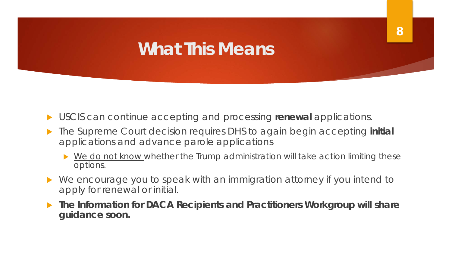# **What This Means**

- u USCIS can continue accepting and processing **renewal** applications.
- The Supreme Court decision requires DHS to again begin accepting initial applications and advance parole applications
	- $\triangleright$  We do not know whether the Trump administration will take action limiting these options.
- We encourage you to speak with an immigration attorney if you intend to apply for renewal or initial.
- The Information for DACA Recipients and Practitioners Workgroup will share **guidance soon.**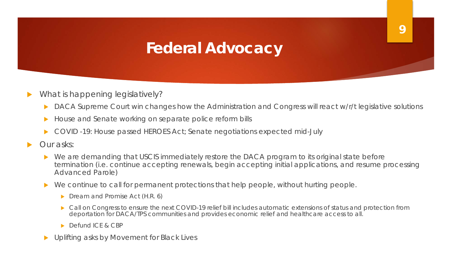## **Federal Advocacy**

- What is happening legislatively?
	- DACA Supreme Court win changes how the Administration and Congress will react w/r/t legislative solutions

- House and Senate working on separate police reform bills
- u COVID -19: House passed HEROES Act; Senate negotiations expected mid-July
- Our asks:
	- We are demanding that USCIS immediately restore the DACA program to its original state before termination (i.e. continue accepting renewals, begin accepting initial applications, and resume processing Advanced Parole)
	- $\triangleright$  We continue to call for permanent protections that help people, without hurting people.
		- $\triangleright$  Dream and Promise Act (H.R. 6)
		- Call on Congress to ensure the next COVID-19 relief bill includes automatic extensions of status and protection from deportation for DACA/TPS communities and provides economic relief and healthcare access to all.
		- Defund ICE & CBP
	- Uplifting asks by Movement for Black Lives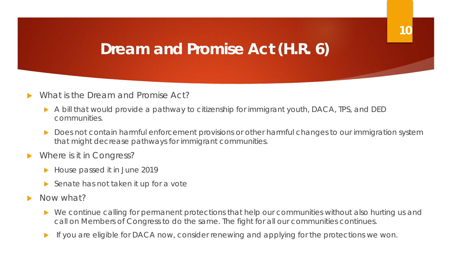### **Dream and Promise Act (H.R. 6)**

- What is the Dream and Promise Act?
	- $\triangleright$  A bill that would provide a pathway to citizenship for immigrant youth, DACA, TPS, and DED communities.
	- Does not contain harmful enforcement provisions or other harmful changes to our immigration system that might decrease pathways for immigrant communities.
- Where is it in Congress?
	- $\blacktriangleright$  House passed it in June 2019
	- $\triangleright$  Senate has not taken it up for a vote
- Now what?
	- $\triangleright$  We continue calling for permanent protections that help our communities without also hurting us and call on Members of Congress to do the same. The fight for all our communities continues.
	- If you are eligible for DACA now, consider renewing and applying for the protections we won.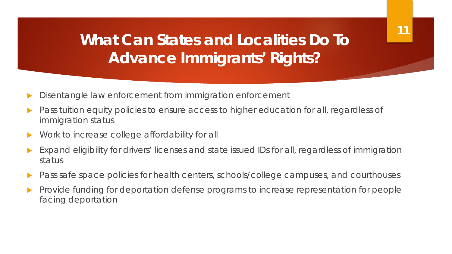### **What Can States and Localities Do To Advance Immigrants' Rights?**

- Disentangle law enforcement from immigration enforcement
- Pass tuition equity policies to ensure access to higher education for all, regardless of immigration status
- Work to increase college affordability for all
- Expand eligibility for drivers' licenses and state issued IDs for all, regardless of immigration status
- Pass safe space policies for health centers, schools/college campuses, and courthouses
- Provide funding for deportation defense programs to increase representation for people facing deportation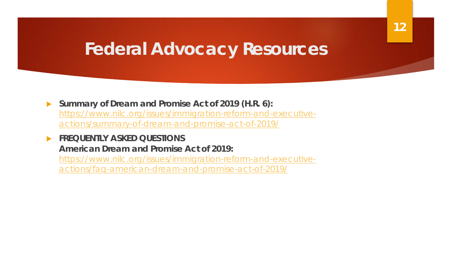## **Federal Advocacy Resources**

▶ Summary of Dream and Promise Act of 2019 (H.R. 6): [https://www.nilc.org/issues/immigration-reform-and-executive](https://www.nilc.org/issues/immigration-reform-and-executive-actions/summary-of-dream-and-promise-act-of-2019/)actions/summary-of-dream-and-promise-act-of-2019/

**FREQUENTLY ASKED QUESTIONS American Dream and Promise Act of 2019:**  [https://www.nilc.org/issues/immigration-reform-and-executive](https://www.nilc.org/issues/immigration-reform-and-executive-actions/faq-american-dream-and-promise-act-of-2019/)actions/faq-american-dream-and-promise-act-of-2019/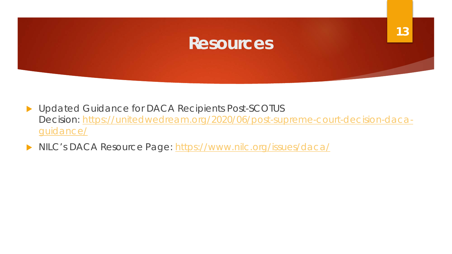

- Dupdated Guidance for DACA Recipients Post-SCOTUS Decision: [https://unitedwedream.org/2020/06/post-supreme-court-decision-daca](https://unitedwedream.org/2020/06/post-supreme-court-decision-daca-guidance/)guidance/
- NILC's DACA Resource Page:<https://www.nilc.org/issues/daca/>